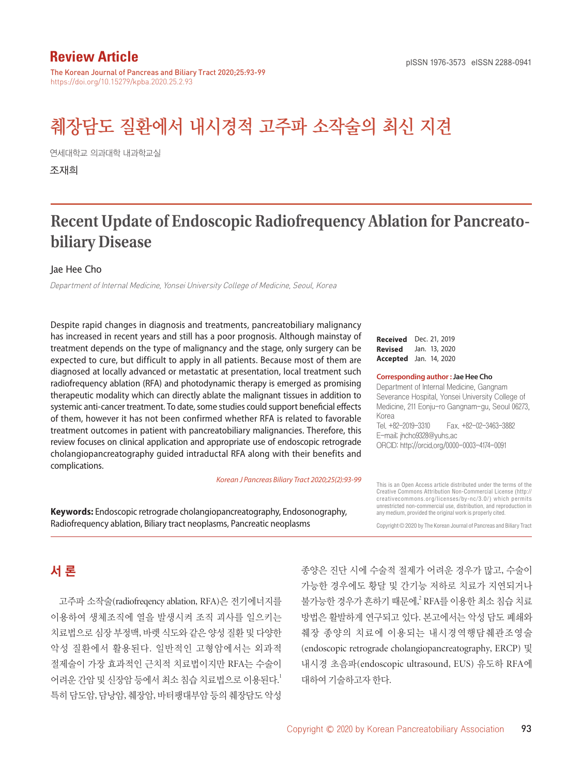## **Review Article**

The Korean Journal of Pancreas and Biliary Tract 2020;25:93-99 https://doi.org/10.15279/kpba.2020.25.2.93

# 췌장담도 질환에서 내시경적 고주파 소작술의 최신 지견

연세대학교 의과대학 내과학교실

조재희

## **Recent Update of Endoscopic Radiofrequency Ablation for Pancreatobiliary Disease**

#### Jae Hee Cho

Department of Internal Medicine, Yonsei University College of Medicine, Seoul, Korea

Despite rapid changes in diagnosis and treatments, pancreatobiliary malignancy has increased in recent years and still has a poor prognosis. Although mainstay of treatment depends on the type of malignancy and the stage, only surgery can be expected to cure, but difficult to apply in all patients. Because most of them are diagnosed at locally advanced or metastatic at presentation, local treatment such radiofrequency ablation (RFA) and photodynamic therapy is emerged as promising therapeutic modality which can directly ablate the malignant tissues in addition to systemic anti-cancer treatment. To date, some studies could support beneficial effects of them, however it has not been confirmed whether RFA is related to favorable treatment outcomes in patient with pancreatobiliary malignancies. Therefore, this review focuses on clinical application and appropriate use of endoscopic retrograde cholangiopancreatography guided intraductal RFA along with their benefits and complications.

*Korean J Pancreas Biliary Tract 2020;25(2):93-99*

**Keywords:** Endoscopic retrograde cholangiopancreatography, Endosonography, Radiofrequency ablation, Biliary tract neoplasms, Pancreatic neoplasms

**Received** Dec. 21, 2019 **Revised** Jan. 13, 2020 **Accepted** Jan. 14, 2020

#### **Corresponding author : Jae Hee Cho**

Department of Internal Medicine, Gangnam Severance Hospital, Yonsei University College of Medicine, 211 Eonju-ro Gangnam-gu, Seoul 06273, Korea Tel. +82-2019-3310 Fax. +82-02-3463-3882

E-mail; jhcho9328@yuhs.ac ORCID: http://orcid.org/0000-0003-4174-0091

This is an Open Access article distributed under the terms of the Creative Commons Attribution Non-Commercial License (http:// creativecommons.org/licenses/by-nc/3.0/) which permits unrestricted non-commercial use, distribution, and reproduction in any medium, provided the original work is properly cited.

Copyright © 2020 by The Korean Journal of Pancreas and Biliary Tract

## 서 론

고주파 소작술(radiofreqency ablation, RFA)은 전기에너지를 이용하여 생체조직에 열을 발생시켜 조직 괴사를 일으키는 치료법으로 심장 부정맥, 바렛 식도와 같은 양성 질환 및 다양한 악성 질환에서 활용된다. 일반적인 고형암에서는 외과적 절제술이 가장 효과적인 근치적 치료법이지만 RFA는 수술이 어려운 간암 및 신장암 등에서 최소 침습 치료법으로 이용된다. 1 특히 담도암, 담낭암, 췌장암, 바터팽대부암 등의 췌장담도 악성

종양은 진단 시에 수술적 절제가 어려운 경우가 많고, 수술이 가능한 경우에도 황달 및 간기능 저하로 치료가 지연되거나 불가능한 경우가 흔하기 때문에,<sup>2</sup> RFA를 이용한 최소 침습 치료 방법은 활발하게 연구되고 있다. 본고에서는 악성 담도 폐쇄와 췌장 종양의 치료에 이용되는 내시경역행담췌관조영술 (endoscopic retrograde cholangiopancreatography, ERCP) 및 내시경 초음파(endoscopic ultrasound, EUS) 유도하 RFA에 대하여 기술하고자 한다.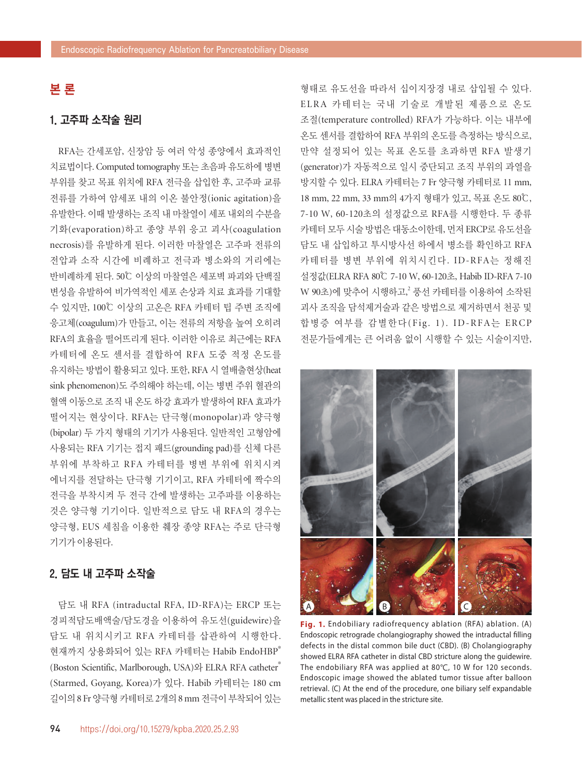## 본 론

#### 1. 고주파 소작술 원리

RFA는 간세포암, 신장암 등 여러 악성 종양에서 효과적인 치료법이다. Computed tomography 또는 초음파 유도하에 병변 부위를 찾고 목표 위치에 RFA 전극을 삽입한 후, 고주파 교류 전류를 가하여 암세포 내의 이온 불안정(ionic agitation)을 유발한다. 이때 발생하는 조직 내 마찰열이 세포 내외의 수분을 기화(evaporation)하고 종양 부위 응고 괴사(coagulation necrosis)를 유발하게 된다. 이러한 마찰열은 고주파 전류의 전압과 소작 시간에 비례하고 전극과 병소와의 거리에는 반비례하게 된다. 50℃ 이상의 마찰열은 세포벽 파괴와 단백질 변성을 유발하여 비가역적인 세포 손상과 치료 효과를 기대할 수 있지만, 100℃ 이상의 고온은 RFA 카테터 팁 주변 조직에 응고체(coagulum)가 만들고, 이는 전류의 저항을 높여 오히려 RFA의 효율을 떨어뜨리게 된다. 이러한 이유로 최근에는 RFA 카테터에 온도 센서를 결합하여 RFA 도중 적정 온도를 유지하는 방법이 활용되고 있다. 또한, RFA 시 열배출현상(heat sink phenomenon)도 주의해야 하는데, 이는 병변 주위 혈관의 혈액 이동으로 조직 내 온도 하강 효과가 발생하여 RFA 효과가 떨어지는 현상이다. RFA는 단극형(monopolar)과 양극형 (bipolar) 두 가지 형태의 기기가 사용된다. 일반적인 고형암에 사용되는 RFA 기기는 접지 패드(grounding pad)를 신체 다른 부위에 부착하고 RFA 카테터를 병변 부위에 위치시켜 에너지를 전달하는 단극형 기기이고, RFA 카테터에 짝수의 전극을 부착시켜 두 전극 간에 발생하는 고주파를 이용하는 것은 양극형 기기이다. 일반적으로 담도 내 RFA의 경우는 양극형, EUS 세침을 이용한 췌장 종양 RFA는 주로 단극형 기기가 이용된다.

## 2. 담도 내 고주파 소작술

담도 내 RFA (intraductal RFA, ID-RFA)는 ERCP 또는 경피적담도배액술/담도경을 이용하여 유도선(guidewire)을 담도 내 위치시키고 RFA 카테터를 삽관하여 시행한다. 현재까지 상용화되어 있는 RFA 카테터는 Habib EndoHBP® (Boston Scientific, Marlborough, USA)와 ELRA RFA catheter® (Starmed, Goyang, Korea)가 있다. Habib 카테터는 180 cm 길이의 8 Fr 양극형 카테터로 2개의 8 mm 전극이 부착되어 있는

형태로 유도선을 따라서 십이지장경 내로 삽입될 수 있다. ELRA 카테터는 국내 기술로 개발된 제품으로 온도 조절(temperature controlled) RFA가 가능하다. 이는 내부에 온도 센서를 결합하여 RFA 부위의 온도를 측정하는 방식으로, 만약 설정되어 있는 목표 온도를 초과하면 RFA 발생기 (generator)가 자동적으로 일시 중단되고 조직 부위의 과열을 방지할 수 있다. ELRA 카테터는 7 Fr 양극형 카테터로 11 mm, 18 mm, 22 mm, 33 mm의 4가지 형태가 있고, 목표 온도 80℃, 7-10 W, 60-120초의 설정값으로 RFA를 시행한다. 두 종류 카테터 모두 시술 방법은 대동소이한데, 먼저 ERCP로 유도선을 담도 내 삽입하고 투시방사선 하에서 병소를 확인하고 RFA 카테터를 병변 부위에 위치시킨다. ID-RFA는 정해진 설정값(ELRA RFA 80℃ 7-10 W, 60-120초, Habib ID-RFA 7-10 W 90초)에 맞추어 시행하고,<sup>2</sup> 풍선 카테터를 이용하여 소작된 괴사 조직을 담석제거술과 같은 방법으로 제거하면서 천공 및 합병증 여부를 감별한다(Fig. 1). ID-RFA는 ERCP 전문가들에게는 큰 어려움 없이 시행할 수 있는 시술이지만,



**Fig. 1.** Endobiliary radiofrequency ablation (RFA) ablation. (A) Endoscopic retrograde cholangiography showed the intraductal filling defects in the distal common bile duct (CBD). (B) Cholangiography showed ELRA RFA catheter in distal CBD stricture along the guidewire. The endobiliary RFA was applied at 80℃, 10 W for 120 seconds. Endoscopic image showed the ablated tumor tissue after balloon retrieval. (C) At the end of the procedure, one biliary self expandable metallic stent was placed in the stricture site.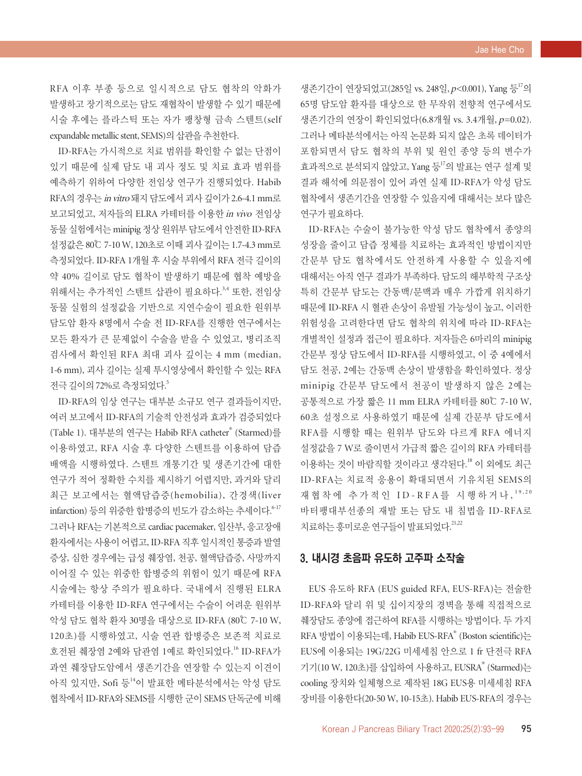RFA 이후 부종 등으로 일시적으로 담도 협착의 악화가 발생하고 장기적으로는 담도 재협착이 발생할 수 있기 때문에 시술 후에는 플라스틱 또는 자가 팽창형 금속 스텐트(self expandable metallic stent, SEMS)의 삽관을 추천한다.

ID-RFA는 가시적으로 치료 범위를 확인할 수 없는 단점이 있기 때문에 실제 담도 내 괴사 정도 및 치료 효과 범위를 예측하기 위하여 다양한 전임상 연구가 진행되었다. Habib RFA의 경우는 in vitro 돼지 담도에서 괴사 깊이가 2.6-4.1 mm로 보고되었고, 저자들의 ELRA 카테터를 이용한 in vivo 전임상 동물 실험에서는 minipig 정상 원위부 담도에서 안전한 ID-RFA 설정값은 80℃ 7-10 W, 120초로 이때 괴사 깊이는 1.7-4.3 mm로 측정되었다. ID-RFA 1개월 후 시술 부위에서 RFA 전극 길이의 약 40% 길이로 담도 협착이 발생하기 때문에 협착 예방을 위해서는 추가적인 스텐트 삽관이 필요하다. 3,4 또한, 전임상 동물 실험의 설정값을 기반으로 지연수술이 필요한 원위부 담도암 환자 8명에서 수술 전 ID-RFA를 진행한 연구에서는 모든 환자가 큰 문제없이 수술을 받을 수 있었고, 병리조직 검사에서 확인된 RFA 최대 괴사 깊이는 4 mm (median, 1-6 mm), 괴사 길이는 실제 투시영상에서 확인할 수 있는 RFA 전극 길이의 72%로 측정되었다. 5

ID-RFA의 임상 연구는 대부분 소규모 연구 결과들이지만, 여러 보고에서 ID-RFA의 기술적 안전성과 효과가 검증되었다 (Table 1). 대부분의 연구는 Habib RFA catheter® (Starmed)를 이용하였고, RFA 시술 후 다양한 스텐트를 이용하여 담즙 배액을 시행하였다. 스텐트 개통기간 및 생존기간에 대한 연구가 적어 정확한 수치를 제시하기 어렵지만, 과거와 달리 최근 보고에서는 혈액담즙증(hemobilia), 간경색(liver infarction) 등의 위중한 합병증의 빈도가 감소하는 추세이다. 6-17 그러나 RFA는 기본적으로 cardiac pacemaker, 임산부, 응고장애 환자에서는 사용이 어렵고, ID-RFA 직후 일시적인 통증과 발열 증상, 심한 경우에는 급성 췌장염, 천공, 혈액담즙증, 사망까지 이어질 수 있는 위중한 합병증의 위험이 있기 때문에 RFA 시술에는 항상 주의가 필요하다. 국내에서 진행된 ELRA 카테터를 이용한 ID-RFA 연구에서는 수술이 어려운 원위부 악성 담도 협착 환자 30명을 대상으로 ID-RFA (80℃ 7-10 W, 120초)를 시행하였고, 시술 연관 합병증은 보존적 치료로 호전된 췌장염 2예와 담관염 1예로 확인되었다. 16 ID-RFA가 과연 췌장담도암에서 생존기간을 연장할 수 있는지 이견이 아직 있지만, Sofi 등<sup>14</sup>이 발표한 메타분석에서는 악성 담도 협착에서 ID-RFA와 SEMS를 시행한 군이 SEMS 단독군에 비해

생존기간이 연장되었고(285일 vs. 248일,  $p$ <0.001), Yang 등<sup>17</sup>의 65명 담도암 환자를 대상으로 한 무작위 전향적 연구에서도 생존기간의 연장이 확인되었다(6.8개월 vs. 3.4개월, p=0.02). 그러나 메타분석에서는 아직 논문화 되지 않은 초록 데이터가 포함되면서 담도 협착의 부위 및 원인 종양 등의 변수가 효과적으로 부석되지 않았고, Yang 등<sup>17</sup>의 발표는 연구 설계 및 결과 해석에 의문점이 있어 과연 실제 ID-RFA가 악성 담도 협착에서 생존기간을 연장할 수 있을지에 대해서는 보다 많은 연구가 필요하다.

ID-RFA는 수술이 불가능한 악성 담도 협착에서 종양의 성장을 줄이고 담즙 정체를 치료하는 효과적인 방법이지만 간문부 담도 협착에서도 안전하게 사용할 수 있을지에 대해서는 아직 연구 결과가 부족하다. 담도의 해부학적 구조상 특히 간문부 담도는 간동맥/문맥과 매우 가깝게 위치하기 때문에 ID-RFA 시 혈관 손상이 유발될 가능성이 높고, 이러한 위험성을 고려한다면 담도 협착의 위치에 따라 ID-RFA는 개별적인 설정과 접근이 필요하다. 저자들은 6마리의 minipig 간문부 정상 담도에서 ID-RFA를 시행하였고, 이 중 4예에서 담도 천공, 2예는 간동맥 손상이 발생함을 확인하였다. 정상 minipig 간문부 담도에서 천공이 발생하지 않은 2예는 공통적으로 가장 짧은 11 mm ELRA 카테터를 80℃ 7-10 W, 60초 설정으로 사용하였기 때문에 실제 간문부 담도에서 RFA를 시행할 때는 원위부 담도와 다르게 RFA 에너지 설정값을 7 W로 줄이면서 가급적 짧은 길이의 RFA 카테터를 이용하는 것이 바람직할 것이라고 생각된다. <sup>18</sup> 이 외에도 최근 ID-RFA는 치료적 응용이 확대되면서 기유치된 SEMS의 재협착에 추가적인 ID-RFA를 시행하거나, 19,20 바터팽대부선종의 재발 또는 담도 내 침법을 ID-RFA로 치료하는 흥미로운 연구들이 발표되었다. 21,22

#### 3. 내시경 초음파 유도하 고주파 소작술

EUS 유도하 RFA (EUS guided RFA, EUS-RFA)는 전술한 ID-RFA와 달리 위 및 십이지장의 경벽을 통해 직접적으로 췌장담도 종양에 접근하여 RFA를 시행하는 방법이다. 두 가지 RFA 방법이 이용되는데, Habib EUS-RFA® (Boston scientific)는 EUS에 이용되는 19G/22G 미세세침 안으로 1 fr 단전극 RFA 기기(10 W, 120초)를 삽입하여 사용하고, EUSRA® (Starmed)는 cooling 장치와 일체형으로 제작된 18G EUS용 미세세침 RFA 장비를 이용한다(20-50 W, 10-15초). Habib EUS-RFA의 경우는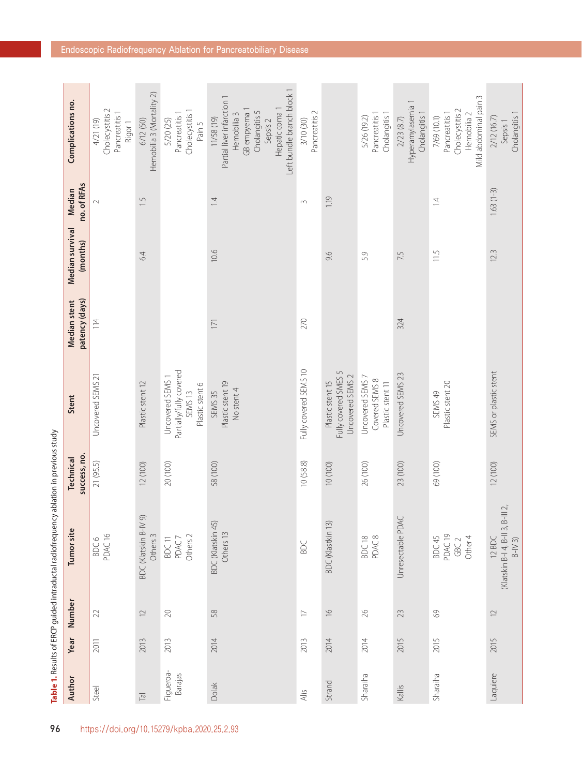| Complications no.                     | $\scriptstyle\sim$<br>Pancreatitis 1<br>Cholecystitis<br>4/21 (19)<br>Rigor <sub>1</sub> | Hemobilia 3 (Mortality 2)<br>6/12 (50)           | Cholecystitis 1<br>Pancreatitis<br>5/20 (25)<br>Pain 5                               | Left bundle branch block 1<br>Partial liver infarction 1<br>Hepatic coma 1<br>GB empyema 1<br>Cholangitis 5<br>Hemobilia 3<br>11/58 (19)<br>Sepsis 2 | Pancreatitis 2<br>3/10 (30) |                                                              | Pancreatitis 1<br>Cholangitis 1<br>5/26 (19.2)         | Hyperamylasemia 1<br>Cholangitis 1<br>2/23(8.7) | Mild abdominal pain 3<br>Cholecystitis 2<br>Pancreatitis 1<br>Hemobilia <sub>2</sub><br>7/69 (10.1) | Cholangitis 1<br>2/12 (16.7)<br>Sepsis 1             |
|---------------------------------------|------------------------------------------------------------------------------------------|--------------------------------------------------|--------------------------------------------------------------------------------------|------------------------------------------------------------------------------------------------------------------------------------------------------|-----------------------------|--------------------------------------------------------------|--------------------------------------------------------|-------------------------------------------------|-----------------------------------------------------------------------------------------------------|------------------------------------------------------|
| no. of RFAs<br>Median                 | $\overline{\mathcal{C}}$                                                                 | $\ddot{.}$                                       |                                                                                      | $\overline{4}$                                                                                                                                       | $\sim$                      | 1.19                                                         |                                                        |                                                 | $\overline{4}$                                                                                      | $1.63(1-3)$                                          |
| Median survival<br>(months)           |                                                                                          | 6.4                                              |                                                                                      | 10.6                                                                                                                                                 |                             | 9.6                                                          | 5.9                                                    | 7.5                                             | 11.5                                                                                                | 12.3                                                 |
| patency (days)<br><b>Median stent</b> | 114                                                                                      |                                                  |                                                                                      | 171                                                                                                                                                  | 270                         |                                                              |                                                        | 324                                             |                                                                                                     |                                                      |
| Stent                                 | Uncovered SEMS 21                                                                        | Plastic stent 12                                 | Partially/fully covered<br>Uncovered SEMS 1<br>Plastic stent 6<br>SEMS <sub>13</sub> | Plastic stent 19<br>No stent 4<br>SEMS <sub>35</sub>                                                                                                 | Fully covered SEMS 10       | Fully covered SMES 5<br>Uncovered SEMS 2<br>Plastic stent 15 | Uncovered SEMS 7<br>Covered SEMS 8<br>Plastic stent 11 | Uncovered SEMS 23                               | Plastic stent 20<br>SEMS 49                                                                         | SEMS or plastic stent                                |
| success, no.<br><b>Technical</b>      | 21 (95.5)                                                                                | 12 (100)                                         | 20 (100)                                                                             | 58 (100)                                                                                                                                             | 10(58.8)                    | 10 (100)                                                     | 26 (100)                                               | 23 (100)                                        | 69 (100)                                                                                            | 12 (100)                                             |
| Tumor site                            | PDAC <sub>16</sub><br>BDC6                                                               | $\circledcirc$<br>BDC (Klatskin B-IV<br>Others 3 | Others <sub>2</sub><br>BDC 11<br>PDAC7                                               | BDC (Klatskin 45)<br>Others 13                                                                                                                       | BDC                         | BDC (Klastkin 13)                                            | PDAC 8<br>BDC 18                                       | Unresectable PDAC                               | PDAC <sub>19</sub><br>Other 4<br>BDC 45<br>GBC <sub>2</sub>                                         | (Klatskin B-14, B-II 3, B-III 2,<br>12 BDC<br>$B-N3$ |
| Number                                | 22                                                                                       | $\supseteq$                                      | $20\,$                                                                               | 58                                                                                                                                                   | $\Box$                      | $\frac{\circ}{\circ}$                                        | $\approx$                                              | 23                                              | $\odot$                                                                                             | $\supseteq$                                          |
| Year                                  | 2011                                                                                     | 2013                                             | 2013                                                                                 | 2014                                                                                                                                                 | 2013                        | 2014                                                         | 2014                                                   | 2015                                            | 2015                                                                                                | 2015                                                 |
| Author                                | Steel                                                                                    | $\overline{\overline{a}}$                        | Figueroa-<br>Barajas                                                                 | Dolak                                                                                                                                                | $\overline{A}$ lis          | Strand                                                       | Sharaiha                                               | Kallis                                          | Sharaiha                                                                                            | Laquiere                                             |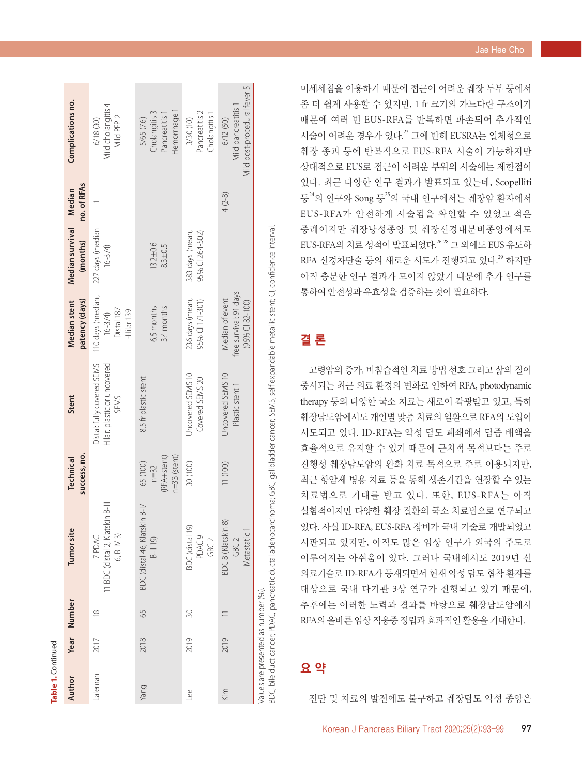| ï |
|---|
| r |
|   |
| ٦ |

 $\overline{\sigma}$ 

| Author                              |      | Year Number   | Tumor site                                                                                                                                            | success, no.<br>Technical                             | Stent                                                             | patency (days)<br>Median stent                                 | Median survival<br>(months)        | no. of RFAs<br>Median | Complications no.                                                        |
|-------------------------------------|------|---------------|-------------------------------------------------------------------------------------------------------------------------------------------------------|-------------------------------------------------------|-------------------------------------------------------------------|----------------------------------------------------------------|------------------------------------|-----------------------|--------------------------------------------------------------------------|
| naleman                             | 2017 | $\frac{8}{2}$ | $\equiv$<br>11 BDC (distal 2, Klatskin<br>$6, B-N3$<br>7 PDAC                                                                                         |                                                       | Hilar: plastic or uncovered<br>Distal: fully covered SEMS<br>SEMS | 110 days (median,<br>-Distal 187<br>$-Hilar 139$<br>$16 - 374$ | 227 days (median<br>$16 - 374$     |                       | Mild cholangitis 4<br>Mild PEP 2<br>6/18 (30)                            |
| Yang                                | 2018 | 59            | $B-1/$<br>BDC (distal 46, Klatskin<br>$B-1119$                                                                                                        | $n=33$ (stent)<br>(RFA+stent)<br>65 (100)<br>$n = 32$ | 8.5 fr plastic stent                                              | 6.5 months<br>3.4 months                                       | $13.2 \pm 0.6$<br>$8.3 + 0.5$      |                       | Hemorrhage 1<br>Cholangitis 3<br>Pancreatitis <sup>1</sup><br>5/65 (7.6) |
| $\frac{e}{2}$                       | 2019 | R             | BDC (distal 19)<br>PDAC <sub>9</sub><br>GBC <sub>2</sub>                                                                                              | 30 (100)                                              | Uncovered SEMS 10<br>Covered SEMS 20                              | 236 days (mean,<br>95% CI 171-301)                             | 95% CI 264-502)<br>383 days (mean, |                       | Pancreatitis 2<br>Cholangitis 1<br>3/30 (10)                             |
| Kim                                 | 2019 |               | BDC8 (Klatskin 8)<br>Metastatic 1<br>GBC <sub>2</sub>                                                                                                 | 11 (100)                                              | Jncovered SEMS 10<br>Plastic stent 1                              | free survival: 91 days<br>Median of event<br>$(95%$ CI 82-100) |                                    | $4(2-8)$              | Mild post-procedural fever 5<br>Mild pancreatitis 1<br>6/12 (50)         |
| Values are presented as number (%). |      |               | BDC, bile duct cancer; PDAC, pancreatic ductal adenocarcinoma; GBC, gallbladder cancer; SEWS, self expandable metallic stent; Cl, confidence interval |                                                       |                                                                   |                                                                |                                    |                       |                                                                          |

미세세침을 이용하기 때문에 접근이 어려운 췌장 두부 등에서 좀 더 쉽게 사용할 수 있지만, 1 fr 크기의 가느다란 구조이기 때문에 여러 번 EUS-RFA 를 반복하면 파손되어 추가적인 시술이 어려운 경우가 있다.<sup>23</sup> 그에 반해 EUSRA는 일체형으로 췌장 종괴 등에 반복적으로 EUS-RFA 시술이 가능하지만 상대적으로 EUS 로 접근이 어려운 부위의 시술에는 제한점이 있다. 최근 다양한 연구 결과가 발표되고 있는데, Scopelliti 등<sup>24</sup>의 연구와 Song 등<sup>25</sup>의 국내 연구에서는 췌장암 환자에서 EUS-RFA 가 안전하게 시술됨을 확인할 수 있었고 적은 증례이지만 췌장낭성종양 및 췌장신경내분비종양에서도 EUS-RFA의 치료 성적이 발표되었다.<sup>26-28</sup> 그 외에도 EUS 유도하 RFA 신경차단술 등의 새로운 시도가 진행되고 있다.<sup>29</sup> 하지만 아직 충분한 연구 결과가 모이지 않았기 때문에 추가 연구를 통하여 안전성과 유효성을 검증하는 것이 필요하다.

## 결 론

고령암의 증가, 비침습적인 치료 방법 선호 그리고 삶의 질이 중시되는 최근 의료 환경의 변화로 인하여 RFA, photodynamic therapy 등의 다양한 국소 치료는 새로이 각광받고 있고, 특히 췌장담도암에서도 개인별 맞춤 치료의 일환으로 RFA 의 도입이 시도되고 있다. ID-RFA는 악성 담도 폐쇄에서 담즙 배액을 효율적으로 유지할 수 있기 때문에 근치적 목적보다는 주로 진행성 췌장담도암의 완화 치료 목적으로 주로 이용되지만, 최근 항암제 병용 치료 등을 통해 생존기간을 연장할 수 있는 치료법으로 기대를 받고 있다. 또한, EUS-RFA 는 아직 실험적이지만 다양한 췌장 질환의 국소 치료법으로 연구되고 있다. 사실 ID-RFA, EUS-RFA 장비가 국내 기술로 개발되었고 시판되고 있지만, 아직도 많은 임상 연구가 외국의 주도로 이루어지는 아쉬움이 있다. 그러나 국내에서도 2019 년 신 의료기술로 ID-RFA 가 등재되면서 현재 악성 담도 협착 환자를 대상으로 국내 다기관 3 상 연구가 진행되고 있기 때문에, 추후에는 이러한 노력과 결과를 바탕으로 췌장담도암에서 RFA 의 올바른 임상 적응증 정립과 효과적인 활용을 기대한다 .

## 요 약

진단 및 치료의 발전에도 불구하고 췌장담도 악성 종양은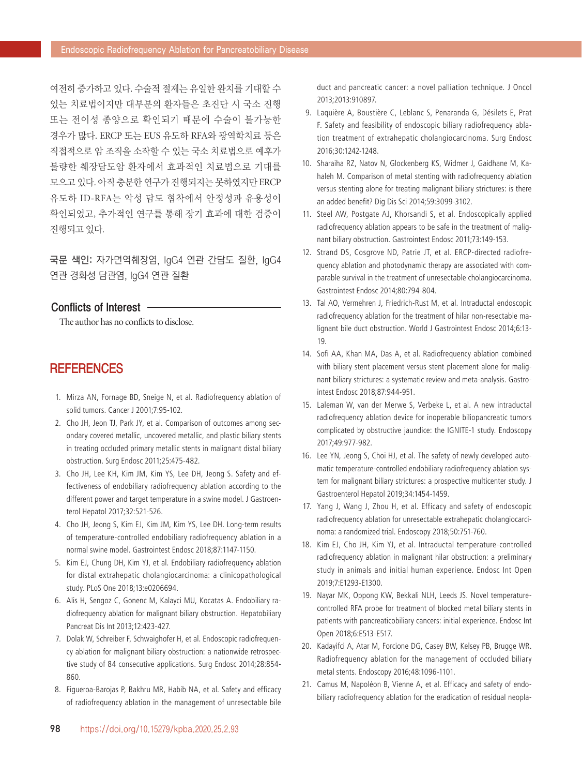여전히 증가하고 있다. 수술적 절제는 유일한 완치를 기대할 수 있는 치료법이지만 대부분의 환자들은 초진단 시 국소 진행 또는 전이성 종양으로 확인되기 때문에 수술이 불가능한 경우가 많다. ERCP 또는 EUS 유도하 RFA와 광역학치료 등은 직접적으로 암 조직을 소작할 수 있는 국소 치료법으로 예후가 불량한 췌장담도암 환자에서 효과적인 치료법으로 기대를 모으고 있다. 아직 충분한 연구가 진행되지는 못하였지만 ERCP 유도하 ID-RFA는 악성 담도 협착에서 안정성과 유용성이 확인되었고, 추가적인 연구를 통해 장기 효과에 대한 검증이 진행되고 있다.

국문 색인: 자가면역췌장염, IgG4 연관 간담도 질환, IgG4 연관 경화성 담관염, IgG4 연관 질환

#### Conflicts of Interest

The author has no conflicts to disclose.

### **REFERENCES**

- 1. Mirza AN, Fornage BD, Sneige N, et al. Radiofrequency ablation of solid tumors. Cancer J 2001;7:95-102.
- 2. Cho JH, Jeon TJ, Park JY, et al. Comparison of outcomes among secondary covered metallic, uncovered metallic, and plastic biliary stents in treating occluded primary metallic stents in malignant distal biliary obstruction. Surg Endosc 2011;25:475-482.
- 3. Cho JH, Lee KH, Kim JM, Kim YS, Lee DH, Jeong S. Safety and effectiveness of endobiliary radiofrequency ablation according to the different power and target temperature in a swine model. J Gastroenterol Hepatol 2017;32:521-526.
- 4. Cho JH, Jeong S, Kim EJ, Kim JM, Kim YS, Lee DH. Long-term results of temperature-controlled endobiliary radiofrequency ablation in a normal swine model. Gastrointest Endosc 2018;87:1147-1150.
- 5. Kim EJ, Chung DH, Kim YJ, et al. Endobiliary radiofrequency ablation for distal extrahepatic cholangiocarcinoma: a clinicopathological study. PLoS One 2018;13:e0206694.
- 6. Alis H, Sengoz C, Gonenc M, Kalayci MU, Kocatas A. Endobiliary radiofrequency ablation for malignant biliary obstruction. Hepatobiliary Pancreat Dis Int 2013;12:423-427.
- 7. Dolak W, Schreiber F, Schwaighofer H, et al. Endoscopic radiofrequency ablation for malignant biliary obstruction: a nationwide retrospective study of 84 consecutive applications. Surg Endosc 2014;28:854- 860.
- 8. Figueroa-Barojas P, Bakhru MR, Habib NA, et al. Safety and efficacy of radiofrequency ablation in the management of unresectable bile

duct and pancreatic cancer: a novel palliation technique. J Oncol 2013;2013:910897.

- 9. Laquière A, Boustière C, Leblanc S, Penaranda G, Désilets E, Prat F. Safety and feasibility of endoscopic biliary radiofrequency ablation treatment of extrahepatic cholangiocarcinoma. Surg Endosc 2016;30:1242-1248.
- 10. Sharaiha RZ, Natov N, Glockenberg KS, Widmer J, Gaidhane M, Kahaleh M. Comparison of metal stenting with radiofrequency ablation versus stenting alone for treating malignant biliary strictures: is there an added benefit? Dig Dis Sci 2014;59:3099-3102.
- 11. Steel AW, Postgate AJ, Khorsandi S, et al. Endoscopically applied radiofrequency ablation appears to be safe in the treatment of malignant biliary obstruction. Gastrointest Endosc 2011;73:149-153.
- 12. Strand DS, Cosgrove ND, Patrie JT, et al. ERCP-directed radiofrequency ablation and photodynamic therapy are associated with comparable survival in the treatment of unresectable cholangiocarcinoma. Gastrointest Endosc 2014;80:794-804.
- 13. Tal AO, Vermehren J, Friedrich-Rust M, et al. Intraductal endoscopic radiofrequency ablation for the treatment of hilar non-resectable malignant bile duct obstruction. World J Gastrointest Endosc 2014;6:13-19.
- 14. Sofi AA, Khan MA, Das A, et al. Radiofrequency ablation combined with biliary stent placement versus stent placement alone for malignant biliary strictures: a systematic review and meta-analysis. Gastrointest Endosc 2018;87:944-951.
- 15. Laleman W, van der Merwe S, Verbeke L, et al. A new intraductal radiofrequency ablation device for inoperable biliopancreatic tumors complicated by obstructive jaundice: the IGNITE-1 study. Endoscopy 2017;49:977-982.
- 16. Lee YN, Jeong S, Choi HJ, et al. The safety of newly developed automatic temperature-controlled endobiliary radiofrequency ablation system for malignant biliary strictures: a prospective multicenter study. J Gastroenterol Hepatol 2019;34:1454-1459.
- 17. Yang J, Wang J, Zhou H, et al. Efficacy and safety of endoscopic radiofrequency ablation for unresectable extrahepatic cholangiocarcinoma: a randomized trial. Endoscopy 2018;50:751-760.
- 18. Kim EJ, Cho JH, Kim YJ, et al. Intraductal temperature-controlled radiofrequency ablation in malignant hilar obstruction: a preliminary study in animals and initial human experience. Endosc Int Open 2019;7:E1293-E1300.
- 19. Nayar MK, Oppong KW, Bekkali NLH, Leeds JS. Novel temperaturecontrolled RFA probe for treatment of blocked metal biliary stents in patients with pancreaticobiliary cancers: initial experience. Endosc Int Open 2018;6:E513-E517.
- 20. Kadayifci A, Atar M, Forcione DG, Casey BW, Kelsey PB, Brugge WR. Radiofrequency ablation for the management of occluded biliary metal stents. Endoscopy 2016;48:1096-1101.
- 21. Camus M, Napoléon B, Vienne A, et al. Efficacy and safety of endobiliary radiofrequency ablation for the eradication of residual neopla-